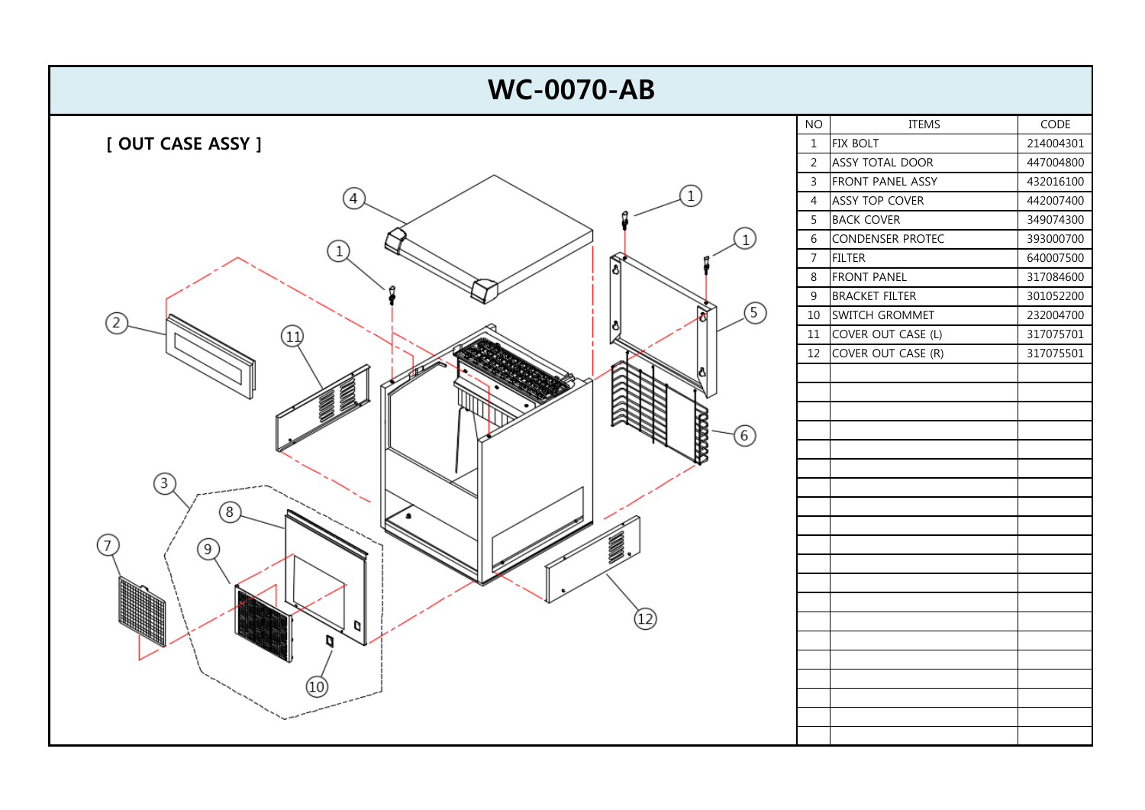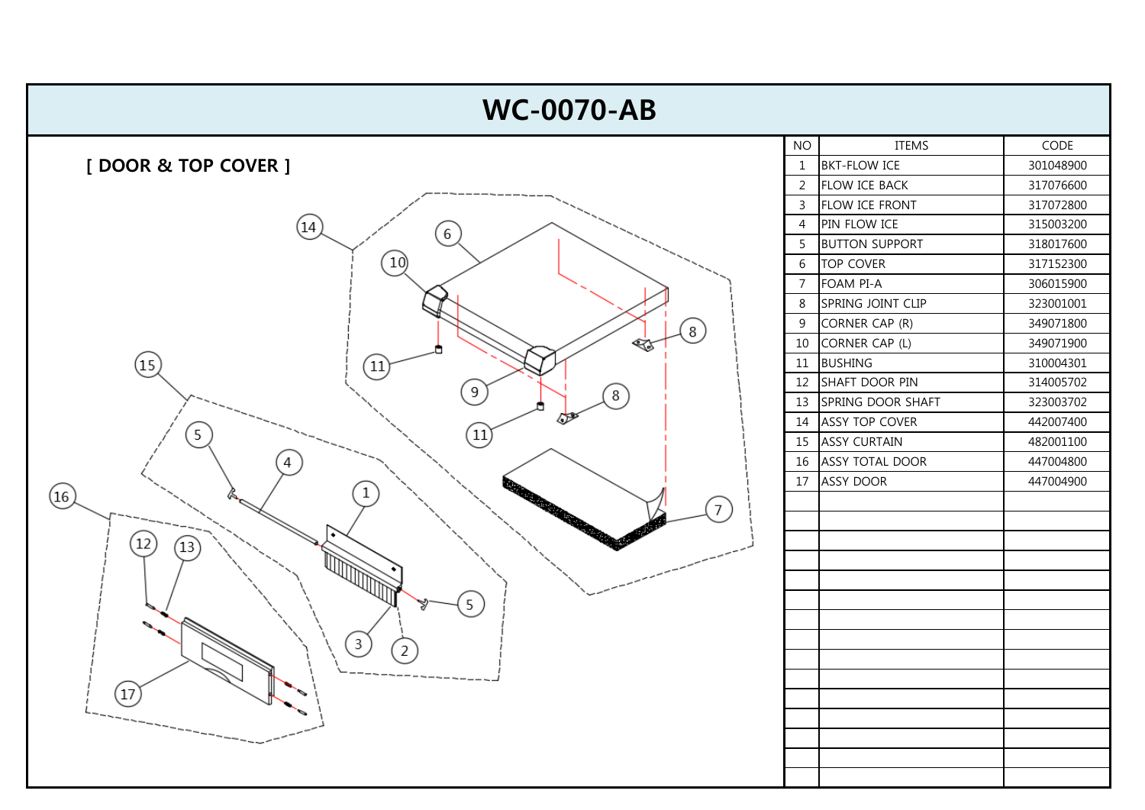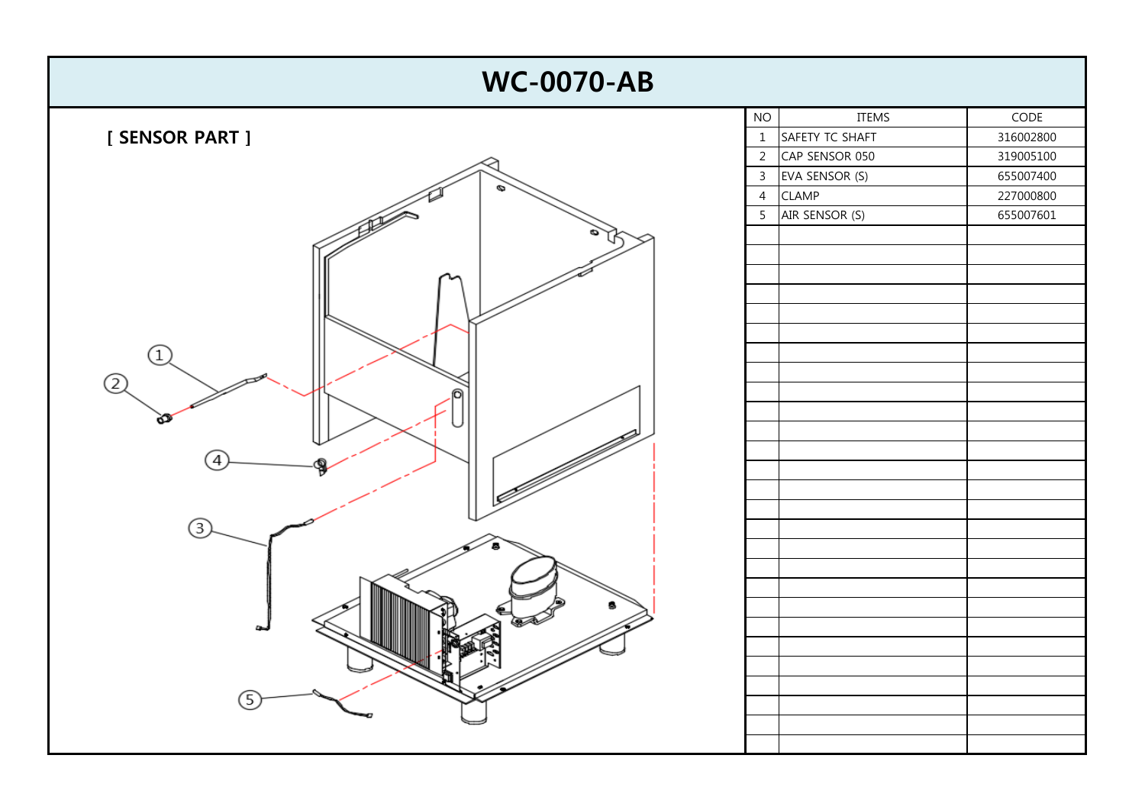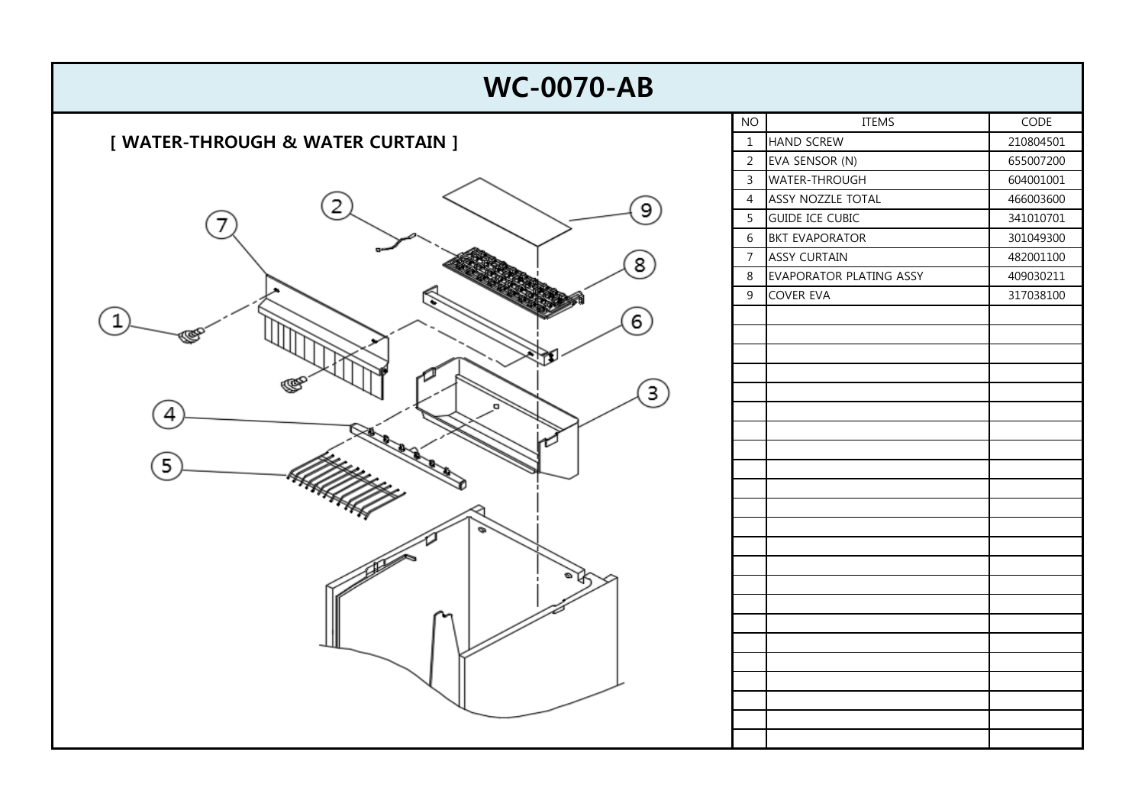| <b>WC-0070-AB</b>                 |                |                         |           |
|-----------------------------------|----------------|-------------------------|-----------|
|                                   | NO             | ITEMS                   | CODE      |
| [ WATER-THROUGH & WATER CURTAIN ] | $\mathbf{1}$   | <b>HAND SCREW</b>       | 210804501 |
|                                   | $\overline{2}$ | EVA SENSOR (N)          | 655007200 |
|                                   | $\mathbf{3}$   | WATER-THROUGH           | 604001001 |
| 9                                 | $\overline{4}$ | ASSY NOZZLE TOTAL       | 466003600 |
|                                   | 5              | <b>GUIDE ICE CUBIC</b>  | 341010701 |
|                                   | $6\,$          | <b>BKT EVAPORATOR</b>   | 301049300 |
| 8                                 | $\overline{7}$ | <b>ASSY CURTAIN</b>     | 482001100 |
|                                   | 8              | EVAPORATOR PLATING ASSY | 409030211 |
|                                   | 9              | COVER EVA               | 317038100 |
| 6                                 |                |                         |           |
|                                   |                |                         |           |
|                                   |                |                         |           |
|                                   |                |                         |           |
| $\mathbf{3}$                      |                |                         |           |
|                                   |                |                         |           |
|                                   |                |                         |           |
|                                   |                |                         |           |
| 5                                 |                |                         |           |
|                                   |                |                         |           |
|                                   |                |                         |           |
|                                   |                |                         |           |
|                                   |                |                         |           |
|                                   |                |                         |           |
|                                   |                |                         |           |
|                                   |                |                         |           |
|                                   |                |                         |           |
|                                   |                |                         |           |
|                                   |                |                         |           |
|                                   |                |                         |           |
|                                   |                |                         |           |
|                                   |                |                         |           |
|                                   |                |                         |           |
|                                   |                |                         |           |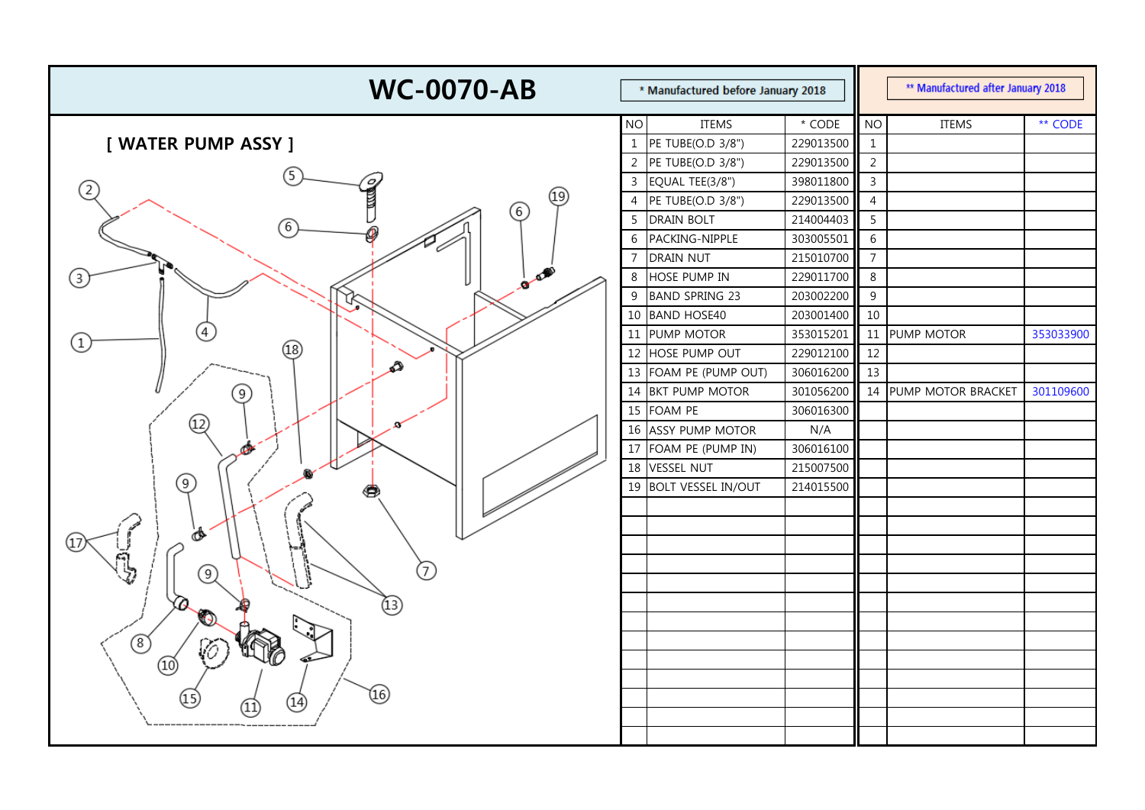| <b>WC-0070-AB</b><br>* Manufactured before January 2018 |                | ** Manufactured after January 2018 |               |                |                    |           |
|---------------------------------------------------------|----------------|------------------------------------|---------------|----------------|--------------------|-----------|
|                                                         | <b>NO</b>      | <b>ITEMS</b>                       | $^\star$ CODE | <b>NO</b>      | <b>ITEMS</b>       | ** CODE   |
| [ WATER PUMP ASSY ]                                     | $\mathbf{1}$   | PE TUBE(O.D 3/8")                  | 229013500     | $\mathbf{1}$   |                    |           |
|                                                         | $\overline{2}$ | PE TUBE(O.D 3/8")                  | 229013500     | $\overline{2}$ |                    |           |
| $\sigma$                                                | $\overline{3}$ | EQUAL TEE(3/8")                    | 398011800     | $\overline{3}$ |                    |           |
| (2)<br>(19)                                             | $\overline{4}$ | PE TUBE(O.D 3/8")                  | 229013500     | $\overline{4}$ |                    |           |
| (6)<br>6                                                | 5              | <b>DRAIN BOLT</b>                  | 214004403     | 5              |                    |           |
|                                                         | 6              | PACKING-NIPPLE                     | 303005501     | 6              |                    |           |
|                                                         | 7              | <b>DRAIN NUT</b>                   | 215010700     | $\overline{7}$ |                    |           |
| $\mathcal{L}^{\text{max}}$<br>3<br>ø                    | 8              | HOSE PUMP IN                       | 229011700     | 8              |                    |           |
|                                                         | 9              | <b>BAND SPRING 23</b>              | 203002200     | 9              |                    |           |
|                                                         | 10             | <b>BAND HOSE40</b>                 | 203001400     | 10             |                    |           |
| $\left( 1\right)$                                       | 11             | PUMP MOTOR                         | 353015201     | 11             | PUMP MOTOR         | 353033900 |
| (18)                                                    | 12             | HOSE PUMP OUT                      | 229012100     | 12             |                    |           |
| Ω                                                       | 13             | FOAM PE (PUMP OUT)                 | 306016200     | 13             |                    |           |
| 9)                                                      | 14             | <b>BKT PUMP MOTOR</b>              | 301056200     | 14             | PUMP MOTOR BRACKET | 301109600 |
|                                                         | 15             | FOAM PE                            | 306016300     |                |                    |           |
| $\textcircled{\scriptsize{12}}$                         | 16             | <b>ASSY PUMP MOTOR</b>             | N/A           |                |                    |           |
| Ø                                                       | 17             | FOAM PE (PUMP IN)                  | 306016100     |                |                    |           |
|                                                         | 18             | <b>VESSEL NUT</b>                  | 215007500     |                |                    |           |
| 9)                                                      | 19             | <b>BOLT VESSEL IN/OUT</b>          | 214015500     |                |                    |           |
|                                                         |                |                                    |               |                |                    |           |
| จ                                                       |                |                                    |               |                |                    |           |
|                                                         |                |                                    |               |                |                    |           |
| 7<br>9)                                                 |                |                                    |               |                |                    |           |
|                                                         |                |                                    |               |                |                    |           |
| Q<br>$\overline{\mathfrak{a}}$<br>$\mathcal{D}$         |                |                                    |               |                |                    |           |
|                                                         |                |                                    |               |                |                    |           |
| $^{\circledR}$<br>v0                                    |                |                                    |               |                |                    |           |
| ⅏                                                       |                |                                    |               |                |                    |           |
|                                                         |                |                                    |               |                |                    |           |
| (16)<br>15<br>$\left(14\right)$<br>11                   |                |                                    |               |                |                    |           |
|                                                         |                |                                    |               |                |                    |           |
|                                                         |                |                                    |               |                |                    |           |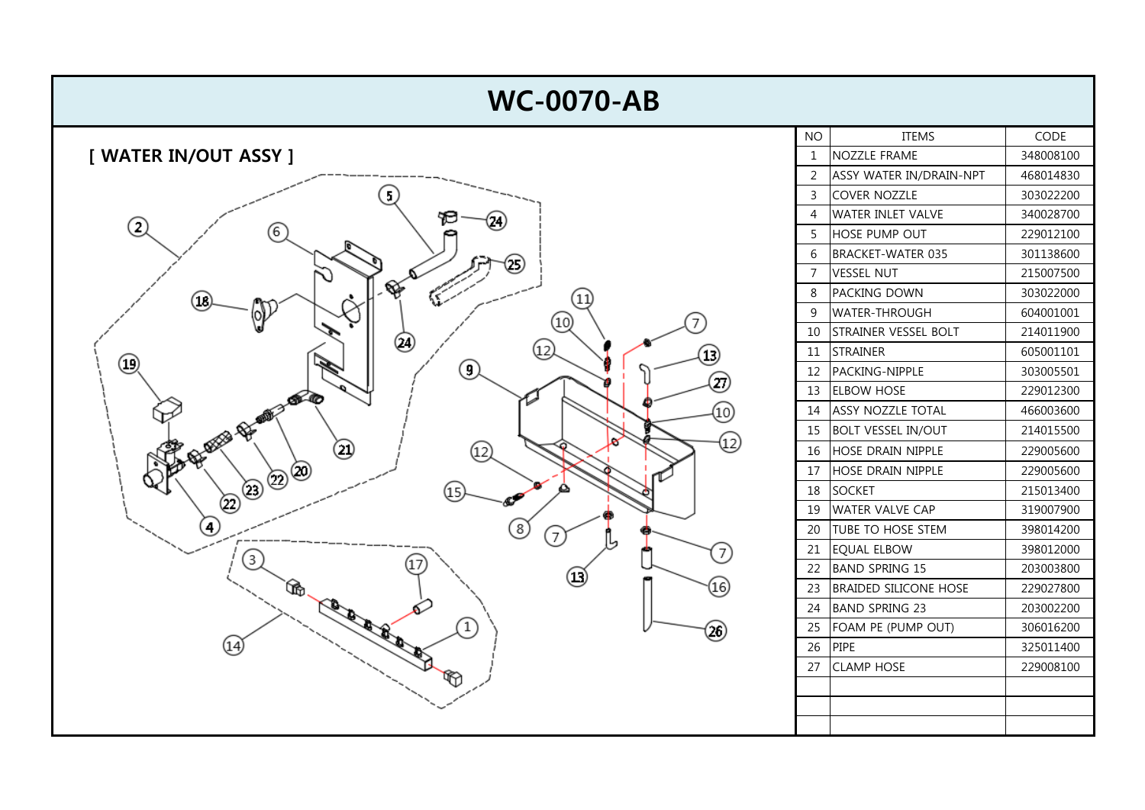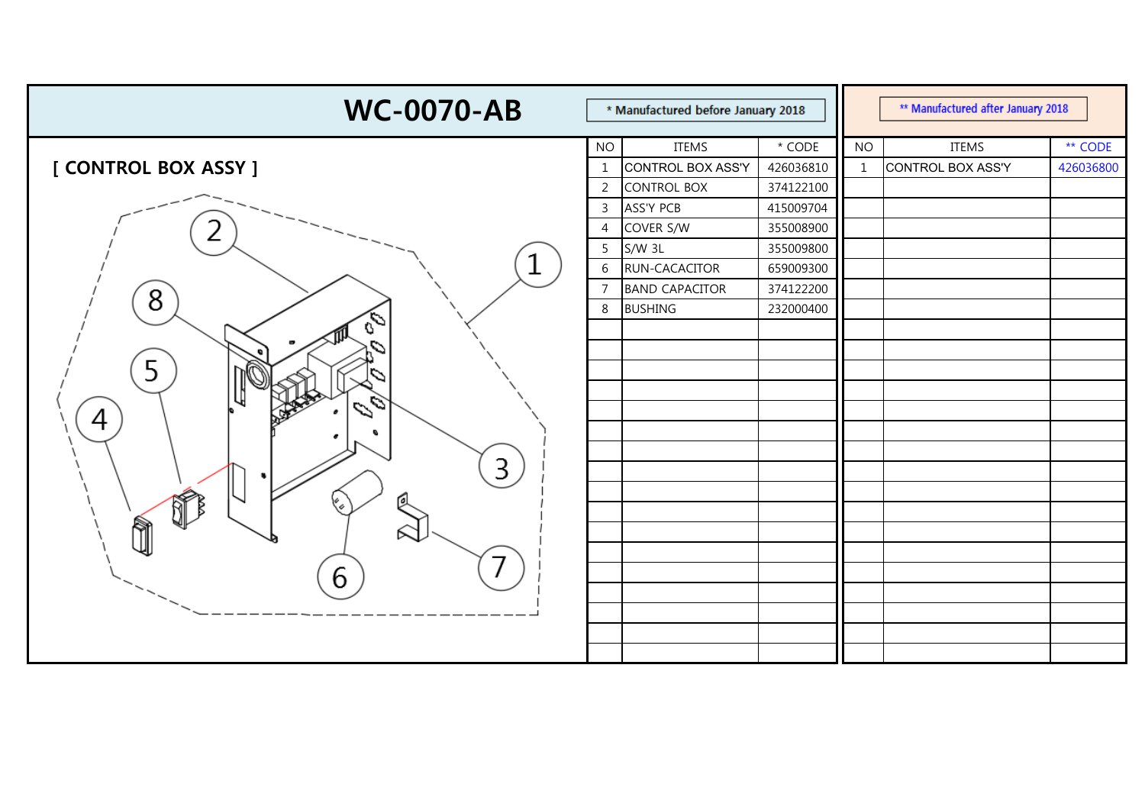| <b>WC-0070-AB</b>    | * Manufactured before January 2018 |                       |           |              | ** Manufactured after January 2018 |           |  |  |  |
|----------------------|------------------------------------|-----------------------|-----------|--------------|------------------------------------|-----------|--|--|--|
|                      | <b>NO</b>                          | <b>ITEMS</b>          | * CODE    | <b>NO</b>    | <b>ITEMS</b>                       | ** CODE   |  |  |  |
| [ CONTROL BOX ASSY ] | 1                                  | CONTROL BOX ASS'Y     | 426036810 | $\mathbf{1}$ | CONTROL BOX ASS'Y                  | 426036800 |  |  |  |
|                      | 2                                  | <b>CONTROL BOX</b>    | 374122100 |              |                                    |           |  |  |  |
|                      | 3                                  | <b>ASS'Y PCB</b>      | 415009704 |              |                                    |           |  |  |  |
|                      | 4                                  | COVER S/W             | 355008900 |              |                                    |           |  |  |  |
|                      | 5                                  | $S/W$ 3L              | 355009800 |              |                                    |           |  |  |  |
| 1                    | 6                                  | RUN-CACACITOR         | 659009300 |              |                                    |           |  |  |  |
| 8                    | $\overline{7}$                     | <b>BAND CAPACITOR</b> | 374122200 |              |                                    |           |  |  |  |
|                      | 8                                  | <b>BUSHING</b>        | 232000400 |              |                                    |           |  |  |  |
|                      |                                    |                       |           |              |                                    |           |  |  |  |
|                      |                                    |                       |           |              |                                    |           |  |  |  |
| 5                    |                                    |                       |           |              |                                    |           |  |  |  |
|                      |                                    |                       |           |              |                                    |           |  |  |  |
| 0<br>4               |                                    |                       |           |              |                                    |           |  |  |  |
|                      |                                    |                       |           |              |                                    |           |  |  |  |
|                      |                                    |                       |           |              |                                    |           |  |  |  |
| 3                    |                                    |                       |           |              |                                    |           |  |  |  |
| $\mathbb{V}_\varphi$ |                                    |                       |           |              |                                    |           |  |  |  |
|                      |                                    |                       |           |              |                                    |           |  |  |  |
|                      |                                    |                       |           |              |                                    |           |  |  |  |
|                      |                                    |                       |           |              |                                    |           |  |  |  |
|                      |                                    |                       |           |              |                                    |           |  |  |  |
|                      |                                    |                       |           |              |                                    |           |  |  |  |
|                      |                                    |                       |           |              |                                    |           |  |  |  |
|                      |                                    |                       |           |              |                                    |           |  |  |  |
|                      |                                    |                       |           |              |                                    |           |  |  |  |